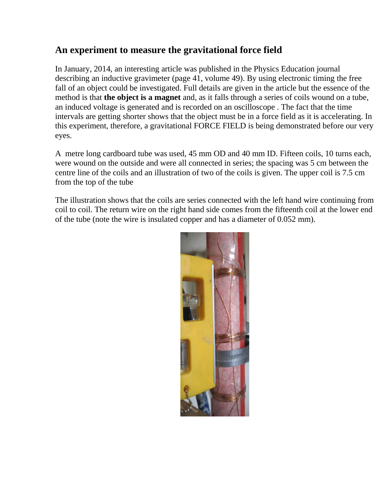## **An experiment to measure the gravitational force field**

In January, 2014, an interesting article was published in the Physics Education journal describing an inductive gravimeter (page 41, volume 49). By using electronic timing the free fall of an object could be investigated. Full details are given in the article but the essence of the method is that **the object is a magnet** and, as it falls through a series of coils wound on a tube, an induced voltage is generated and is recorded on an oscilloscope . The fact that the time intervals are getting shorter shows that the object must be in a force field as it is accelerating. In this experiment, therefore, a gravitational FORCE FIELD is being demonstrated before our very eyes.

A metre long cardboard tube was used, 45 mm OD and 40 mm ID. Fifteen coils, 10 turns each, were wound on the outside and were all connected in series; the spacing was 5 cm between the centre line of the coils and an illustration of two of the coils is given. The upper coil is 7.5 cm from the top of the tube

The illustration shows that the coils are series connected with the left hand wire continuing from coil to coil. The return wire on the right hand side comes from the fifteenth coil at the lower end of the tube (note the wire is insulated copper and has a diameter of 0.052 mm).

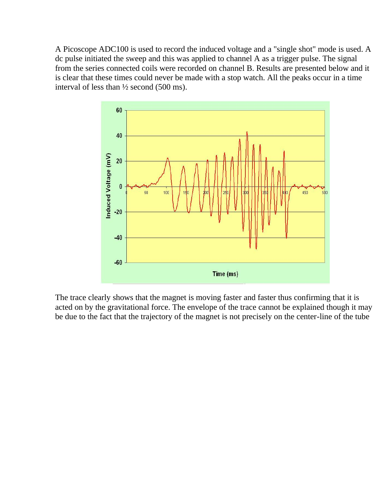A Picoscope ADC100 is used to record the induced voltage and a "single shot" mode is used. A dc pulse initiated the sweep and this was applied to channel A as a trigger pulse. The signal from the series connected coils were recorded on channel B. Results are presented below and it is clear that these times could never be made with a stop watch. All the peaks occur in a time interval of less than ½ second (500 ms).



The trace clearly shows that the magnet is moving faster and faster thus confirming that it is acted on by the gravitational force. The envelope of the trace cannot be explained though it may be due to the fact that the trajectory of the magnet is not precisely on the center-line of the tube